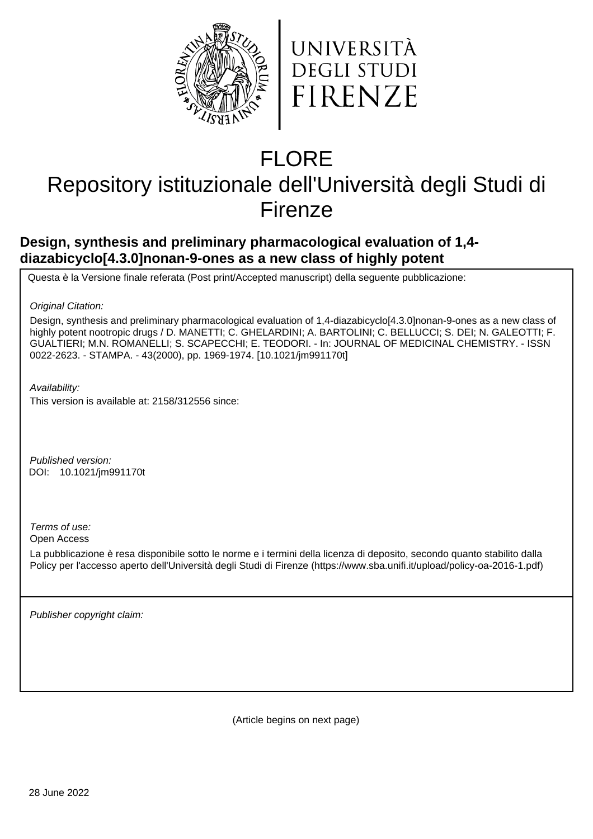



# FLORE

## Repository istituzionale dell'Università degli Studi di Firenze

## **Design, synthesis and preliminary pharmacological evaluation of 1,4 diazabicyclo[4.3.0]nonan-9-ones as a new class of highly potent**

Questa è la Versione finale referata (Post print/Accepted manuscript) della seguente pubblicazione:

Original Citation:

Design, synthesis and preliminary pharmacological evaluation of 1,4-diazabicyclo[4.3.0]nonan-9-ones as a new class of highly potent nootropic drugs / D. MANETTI; C. GHELARDINI; A. BARTOLINI; C. BELLUCCI; S. DEI; N. GALEOTTI; F. GUALTIERI; M.N. ROMANELLI; S. SCAPECCHI; E. TEODORI. - In: JOURNAL OF MEDICINAL CHEMISTRY. - ISSN 0022-2623. - STAMPA. - 43(2000), pp. 1969-1974. [10.1021/jm991170t]

Availability:

This version is available at: 2158/312556 since:

Published version: DOI: 10.1021/jm991170t

Terms of use:

Open Access

La pubblicazione è resa disponibile sotto le norme e i termini della licenza di deposito, secondo quanto stabilito dalla Policy per l'accesso aperto dell'Università degli Studi di Firenze (https://www.sba.unifi.it/upload/policy-oa-2016-1.pdf)

Publisher copyright claim:

(Article begins on next page)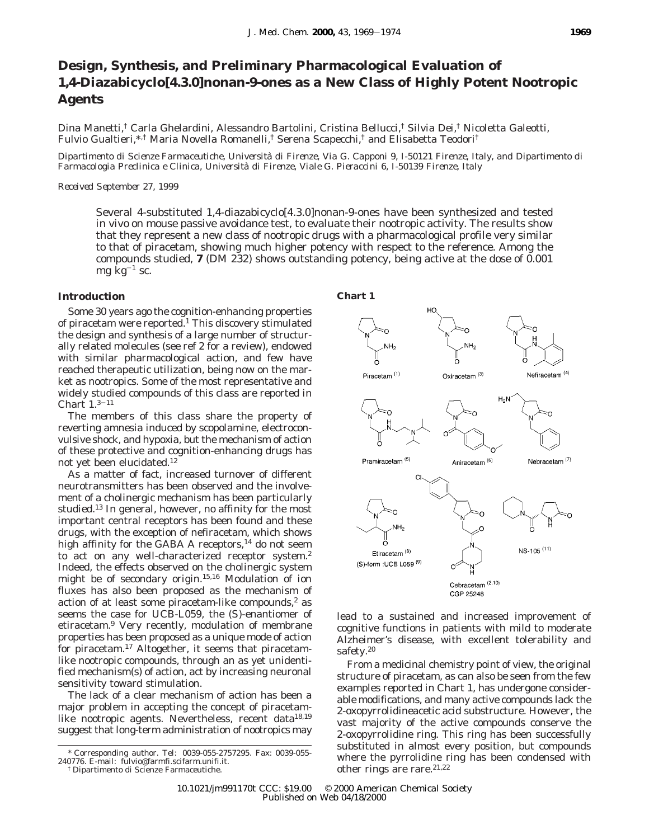### **Design, Synthesis, and Preliminary Pharmacological Evaluation of 1,4-Diazabicyclo[4.3.0]nonan-9-ones as a New Class of Highly Potent Nootropic Agents**

Dina Manetti,† Carla Ghelardini, Alessandro Bartolini, Cristina Bellucci,† Silvia Dei,† Nicoletta Galeotti, Fulvio Gualtieri,\*,† Maria Novella Romanelli,† Serena Scapecchi,† and Elisabetta Teodori†

*Dipartimento di Scienze Farmaceutiche, Universita*` *di Firenze, Via G. Capponi 9, I-50121 Firenze, Italy, and Dipartimento di Farmacologia Preclinica e Clinica, Universita*` *di Firenze, Viale G. Pieraccini 6, I-50139 Firenze, Italy*

#### *Received September 27, 1999*

Several 4-substituted 1,4-diazabicyclo[4.3.0]nonan-9-ones have been synthesized and tested in vivo on mouse passive avoidance test, to evaluate their nootropic activity. The results show that they represent a new class of nootropic drugs with a pharmacological profile very similar to that of piracetam, showing much higher potency with respect to the reference. Among the compounds studied, **7** (DM 232) shows outstanding potency, being active at the dose of 0.001 mg  $kg^{-1}$  sc.

#### **Introduction**

Some 30 years ago the cognition-enhancing properties of piracetam were reported.1 This discovery stimulated the design and synthesis of a large number of structurally related molecules (see ref 2 for a review), endowed with similar pharmacological action, and few have reached therapeutic utilization, being now on the market as nootropics. Some of the most representative and widely studied compounds of this class are reported in Chart  $1.3-11$ 

The members of this class share the property of reverting amnesia induced by scopolamine, electroconvulsive shock, and hypoxia, but the mechanism of action of these protective and cognition-enhancing drugs has not yet been elucidated.12

As a matter of fact, increased turnover of different neurotransmitters has been observed and the involvement of a cholinergic mechanism has been particularly studied.13 In general, however, no affinity for the most important central receptors has been found and these drugs, with the exception of nefiracetam, which shows high affinity for the GABA A receptors,<sup>14</sup> do not seem to act on any well-characterized receptor system.<sup>2</sup> Indeed, the effects observed on the cholinergic system might be of secondary origin.15,16 Modulation of ion fluxes has also been proposed as the mechanism of action of at least some piracetam-like compounds, $2$  as seems the case for UCB-L059, the (*S*)-enantiomer of etiracetam.9 Very recently, modulation of membrane properties has been proposed as a unique mode of action for piracetam.17 Altogether, it seems that piracetamlike nootropic compounds, through an as yet unidentified mechanism(s) of action, act by increasing neuronal sensitivity toward stimulation.

The lack of a clear mechanism of action has been a major problem in accepting the concept of piracetamlike nootropic agents. Nevertheless, recent data<sup>18,19</sup> suggest that long-term administration of nootropics may



lead to a sustained and increased improvement of cognitive functions in patients with mild to moderate Alzheimer's disease, with excellent tolerability and safety.<sup>20</sup>

From a medicinal chemistry point of view, the original structure of piracetam, as can also be seen from the few examples reported in Chart 1, has undergone considerable modifications, and many active compounds lack the 2-oxopyrrolidineacetic acid substructure. However, the vast majority of the active compounds conserve the 2-oxopyrrolidine ring. This ring has been successfully substituted in almost every position, but compounds where the pyrrolidine ring has been condensed with other rings are rare.<sup>21,22</sup>

<sup>\*</sup> Corresponding author. Tel: 0039-055-2757295. Fax: 0039-055- 240776. E-mail: fulvio@farmfi.scifarm.unifi.it.

<sup>†</sup> Dipartimento di Scienze Farmaceutiche.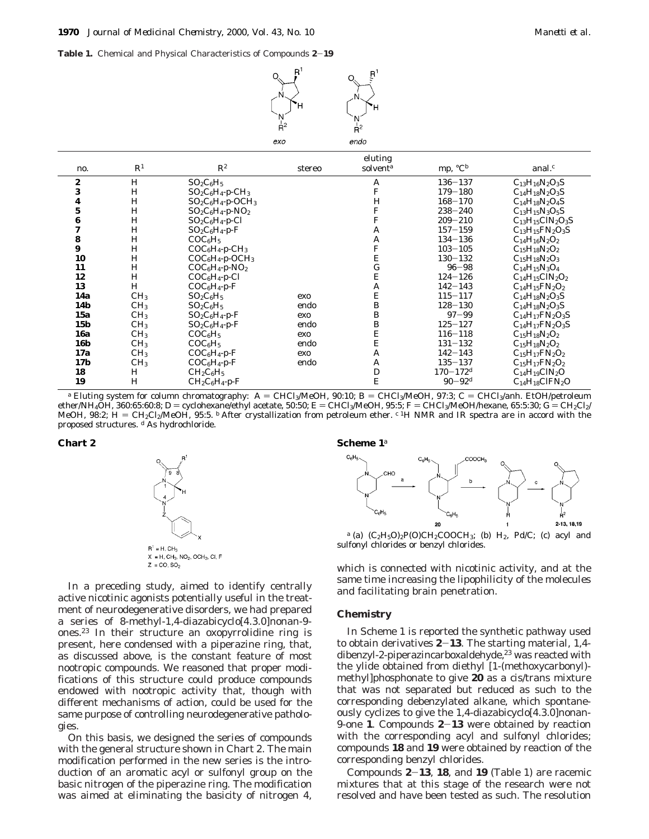**Table 1.** Chemical and Physical Characteristics of Compounds **<sup>2</sup>**-**<sup>19</sup>**



| no.                     | $\mathbb{R}^1$  | $\mathbb{R}^2$                   | stereo | eluting<br>solvent <sup>a</sup> | mp, ${}^{\circ}C^{b}$    | anal. $\epsilon$           |
|-------------------------|-----------------|----------------------------------|--------|---------------------------------|--------------------------|----------------------------|
| 2                       | H               | $SO_2C_6H_5$                     |        | A                               | $136 - 137$              | $C_{13}H_{16}N_2O_3S$      |
| 3                       | H               | $SO_2C_6H_4$ -p-CH <sub>3</sub>  |        | F                               | $179 - 180$              | $C_{14}H_{18}N_2O_3S$      |
| 4                       | H               | $SO_2C_6H_4$ -p-OCH <sub>3</sub> |        | H                               | $168 - 170$              | $C_{14}H_{18}N_2O_4S$      |
| $\mathbf{5}$            | H               | $SO_2C_6H_4-p-NO_2$              |        | F                               | $238 - 240$              | $C_{13}H_{15}N_3O_5S$      |
| 6                       | H               | $SO_2C_6H_4-p-Cl$                |        | ${\bf F}$                       | $209 - 210$              | $C_{13}H_{15}CIN_2O_3S$    |
| $\overline{\mathbf{7}}$ | H               | $SO_2C_6H_4$ -p-F                |        | A                               | $157 - 159$              | $C_{13}H_{15}FN_{2}O_{3}S$ |
| 8                       | H               | COC <sub>6</sub> H <sub>5</sub>  |        | A                               | $134 - 136$              | $C_{14}H_{16}N_2O_2$       |
| 9                       | H               | $COC_6H_4-p-CH_3$                |        | F                               | $103 - 105$              | $C_{15}H_{18}N_2O_2$       |
| 10                      | H               | $COC_6H_4-p-OCH_3$               |        | ${\bf E}$                       | $130 - 132$              | $C_{15}H_{18}N_2O_3$       |
| 11                      | H               | $COC_6H_4-p-NO_2$                |        | $\mathbf G$                     | $96 - 98$                | $C_{14}H_{15}N_3O_4$       |
| 12                      | H               | $COC_6H_4-p-Cl$                  |        | E                               | $124 - 126$              | $C_{14}H_{15}CIN_2O_2$     |
| 13                      | H               | $COC_6H_4-p-F$                   |        | A                               | $142 - 143$              | $C_{14}H_{15}FN_{2}O_{2}$  |
| 14a                     | CH <sub>3</sub> | $SO_2C_6H_5$                     | exo    | E                               | $115 - 117$              | $C_{14}H_{18}N_2O_3S$      |
| <b>14b</b>              | CH <sub>3</sub> | $SO_2C_6H_5$                     | endo   | B                               | $128 - 130$              | $C_{14}H_{18}N_2O_3S$      |
| 15a                     | CH <sub>3</sub> | $SO_2C_6H_4-p-F$                 | exo    | B                               | $97 - 99$                | $C_{14}H_{17}FN_{2}O_{3}S$ |
| 15 <sub>b</sub>         | CH <sub>3</sub> | $SO_2C_6H_4-p-F$                 | endo   | B                               | $125 - 127$              | $C_{14}H_{17}FN_{2}O_{3}S$ |
| <b>16a</b>              | CH <sub>3</sub> | COC <sub>6</sub> H <sub>5</sub>  | exo    | E                               | $116 - 118$              | $C_{15}H_{18}N_2O_2$       |
| <b>16b</b>              | CH <sub>3</sub> | COC <sub>6</sub> H <sub>5</sub>  | endo   | E                               | $131 - 132$              | $C_{15}H_{18}N_2O_2$       |
| 17a                     | CH <sub>3</sub> | $COC_6H_4-p-F$                   | exo    | A                               | $142 - 143$              | $C_{15}H_{17}FN_{2}O_{2}$  |
| 17 <b>b</b>             | CH <sub>3</sub> | $COC_6H_4-p-F$                   | endo   | A                               | $135 - 137$              | $C_{15}H_{17}FN_{2}O_{2}$  |
| 18                      | H               | $CH_2C_6H_5$                     |        | D                               | $170 - 172$ <sup>d</sup> | $C_{14}H_{19}C1N_2O$       |
| 19                      | H               | $CH_2C_6H_4-p-F$                 |        | E                               | $90 - 92$ <sup>d</sup>   | $C_{14}H_{18}CIFN_2O$      |

<sup>a</sup> Eluting system for column chromatography: A = CHCl<sub>3</sub>/MeOH, 90:10; B = CHCl<sub>3</sub>/MeOH, 97:3; C = CHCl<sub>3</sub>/anh. EtOH/petroleum<br>ether/NH<sub>4</sub>OH, 360:65:60:8; D = cyclohexane/ethyl acetate, 50:50; E = CHCl<sub>3</sub>/MeOH, 95:5; F = ether/NH4OH, 360:65:60:8; D = cyclohexane/ethyl acetate, 50:50; E = CHCl3/MeOH, 95:5; F = CHCl3/MeOH/hexane, 65:5:30; G = CH2Cl2/<br>MeOH\_98:2: H = CH2Cl2/MeOH\_95:5, <sup>b</sup> After crystallization from petroleum ether, <sup>c 1</sup>H NMR MeOH, 98:2; H = CH<sub>2</sub>Cl<sub>2</sub>/MeOH, 95:5. <sup>b</sup> After crystallization from petroleum ether. <sup>*c* 1</sup>H NMR and IR spectra are in accord with the<br>proposed structures, <sup>d</sup> As bydrochloride proposed structures. *<sup>d</sup>* As hydrochloride.



In a preceding study, aimed to identify centrally active nicotinic agonists potentially useful in the treatment of neurodegenerative disorders, we had prepared a series of 8-methyl-1,4-diazabicyclo[4.3.0]nonan-9 ones.23 In their structure an oxopyrrolidine ring is present, here condensed with a piperazine ring, that, as discussed above, is the constant feature of most nootropic compounds. We reasoned that proper modifications of this structure could produce compounds endowed with nootropic activity that, though with different mechanisms of action, could be used for the same purpose of controlling neurodegenerative pathologies.

On this basis, we designed the series of compounds with the general structure shown in Chart 2. The main modification performed in the new series is the introduction of an aromatic acyl or sulfonyl group on the basic nitrogen of the piperazine ring. The modification was aimed at eliminating the basicity of nitrogen 4,

#### **Chart 2 Scheme 1***<sup>a</sup>*



 $a$  (a)  $(C_2H_5O)_2P(O)CH_2COOCH_3$ ; (b)  $H_2$ ,  $Pd/C$ ; (c) acyl and sulfonyl chlorides or benzyl chlorides.

which is connected with nicotinic activity, and at the same time increasing the lipophilicity of the molecules and facilitating brain penetration.

#### **Chemistry**

In Scheme 1 is reported the synthetic pathway used to obtain derivatives **<sup>2</sup>**-**13**. The starting material, 1,4 dibenzyl-2-piperazincarboxaldehyde,<sup>23</sup> was reacted with the ylide obtained from diethyl [1-(methoxycarbonyl) methyl]phosphonate to give **20** as a cis/trans mixture that was not separated but reduced as such to the corresponding debenzylated alkane, which spontaneously cyclizes to give the 1,4-diazabicyclo[4.3.0]nonan-9-one **<sup>1</sup>**. Compounds **<sup>2</sup>**-**<sup>13</sup>** were obtained by reaction with the corresponding acyl and sulfonyl chlorides; compounds **18** and **19** were obtained by reaction of the corresponding benzyl chlorides.

Compounds **<sup>2</sup>**-**13**, **<sup>18</sup>**, and **<sup>19</sup>** (Table 1) are racemic mixtures that at this stage of the research were not resolved and have been tested as such. The resolution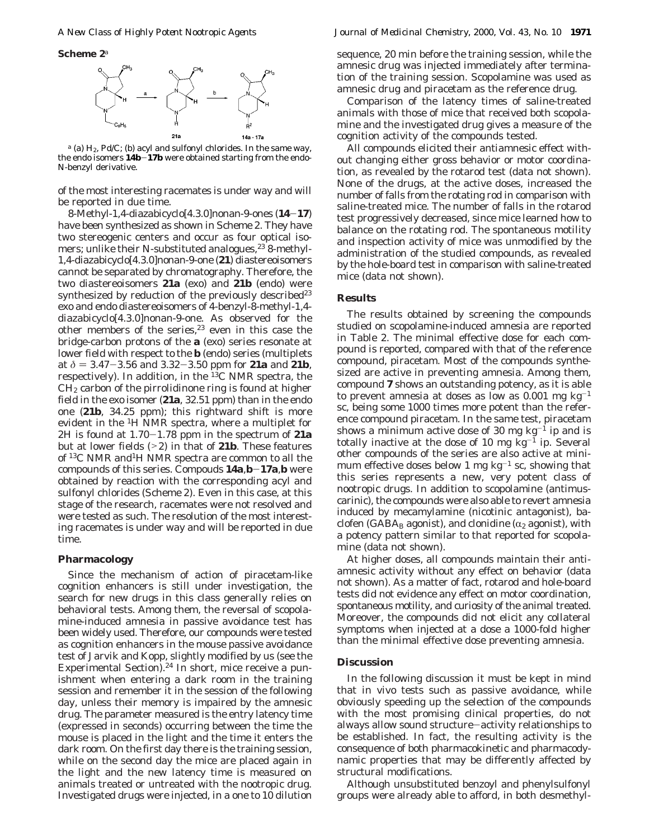**Scheme 2***<sup>a</sup>*



*<sup>a</sup>* (a) H2, Pd/C; (b) acyl and sulfonyl chlorides. In the same way, the endo isomers **14b**-**17b** were obtained starting from the endo-*N*-benzyl derivative.

of the most interesting racemates is under way and will be reported in due time.

8-Methyl-1,4-diazabicyclo[4.3.0]nonan-9-ones (**14**-**17**) have been synthesized as shown in Scheme 2. They have two stereogenic centers and occur as four optical isomers; unlike their N-substituted analogues,<sup>23</sup> 8-methyl-1,4-diazabicyclo[4.3.0]nonan-9-one (**21**) diastereoisomers cannot be separated by chromatography. Therefore, the two diastereoisomers **21a** (exo) and **21b** (endo) were synthesized by reduction of the previously described<sup>23</sup> exo and endo diastereoisomers of 4-benzyl-8-methyl-1,4 diazabicyclo[4.3.0]nonan-9-one. As observed for the other members of the series, $23$  even in this case the bridge-carbon protons of the **a** (exo) series resonate at lower field with respect to the **b** (endo) series (multiplets at  $\delta = 3.47 - 3.56$  and  $3.32 - 3.50$  ppm for **21a** and **21b**, respectively). In addition, in the 13C NMR spectra, the  $CH<sub>2</sub>$  carbon of the pirrolidinone ring is found at higher field in the exo isomer (**21a**, 32.51 ppm) than in the endo one (**21b**, 34.25 ppm); this rightward shift is more evident in the 1H NMR spectra, where a multiplet for 2H is found at 1.70-1.78 ppm in the spectrum of **21a** but at lower fields (>2) in that of **21b**. These features of 13C NMR and1H NMR spectra are common to all the compounds of this series. Compouds **14a**,**b**-**17a**,**<sup>b</sup>** were obtained by reaction with the corresponding acyl and sulfonyl chlorides (Scheme 2). Even in this case, at this stage of the research, racemates were not resolved and were tested as such. The resolution of the most interesting racemates is under way and will be reported in due time.

#### **Pharmacology**

Since the mechanism of action of piracetam-like cognition enhancers is still under investigation, the search for new drugs in this class generally relies on behavioral tests. Among them, the reversal of scopolamine-induced amnesia in passive avoidance test has been widely used. Therefore, our compounds were tested as cognition enhancers in the mouse passive avoidance test of Jarvik and Kopp, slightly modified by us (see the Experimental Section).<sup>24</sup> In short, mice receive a punishment when entering a dark room in the training session and remember it in the session of the following day, unless their memory is impaired by the amnesic drug. The parameter measured is the entry latency time (expressed in seconds) occurring between the time the mouse is placed in the light and the time it enters the dark room. On the first day there is the training session, while on the second day the mice are placed again in the light and the new latency time is measured on animals treated or untreated with the nootropic drug. Investigated drugs were injected, in a one to 10 dilution sequence, 20 min before the training session, while the amnesic drug was injected immediately after termination of the training session. Scopolamine was used as amnesic drug and piracetam as the reference drug.

Comparison of the latency times of saline-treated animals with those of mice that received both scopolamine and the investigated drug gives a measure of the cognition activity of the compounds tested.

All compounds elicited their antiamnesic effect without changing either gross behavior or motor coordination, as revealed by the rotarod test (data not shown). None of the drugs, at the active doses, increased the number of falls from the rotating rod in comparison with saline-treated mice. The number of falls in the rotarod test progressively decreased, since mice learned how to balance on the rotating rod. The spontaneous motility and inspection activity of mice was unmodified by the administration of the studied compounds, as revealed by the hole-board test in comparison with saline-treated mice (data not shown).

#### **Results**

The results obtained by screening the compounds studied on scopolamine-induced amnesia are reported in Table 2. The minimal effective dose for each compound is reported, compared with that of the reference compound, piracetam. Most of the compounds synthesized are active in preventing amnesia. Among them, compound **7** shows an outstanding potency, as it is able to prevent amnesia at doses as low as  $0.001$  mg kg<sup>-1</sup> sc, being some 1000 times more potent than the reference compound piracetam. In the same test, piracetam shows a minimum active dose of 30 mg  $kg^{-1}$  ip and is totally inactive at the dose of 10 mg  $\text{kg}^{-1}$  ip. Several other compounds of the series are also active at minimum effective doses below 1 mg  $kg^{-1}$  sc, showing that this series represents a new, very potent class of nootropic drugs. In addition to scopolamine (antimuscarinic), the compounds were also able to revert amnesia induced by mecamylamine (nicotinic antagonist), baclofen (GABA<sub>B</sub> agonist), and clonidine ( $\alpha_2$  agonist), with a potency pattern similar to that reported for scopolamine (data not shown).

At higher doses, all compounds maintain their antiamnesic activity without any effect on behavior (data not shown). As a matter of fact, rotarod and hole-board tests did not evidence any effect on motor coordination, spontaneous motility, and curiosity of the animal treated. Moreover, the compounds did not elicit any collateral symptoms when injected at a dose a 1000-fold higher than the minimal effective dose preventing amnesia.

#### **Discussion**

In the following discussion it must be kept in mind that in vivo tests such as passive avoidance, while obviously speeding up the selection of the compounds with the most promising clinical properties, do not always allow sound structure-activity relationships to be established. In fact, the resulting activity is the consequence of both pharmacokinetic and pharmacodynamic properties that may be differently affected by structural modifications.

Although unsubstituted benzoyl and phenylsulfonyl groups were already able to afford, in both desmethyl-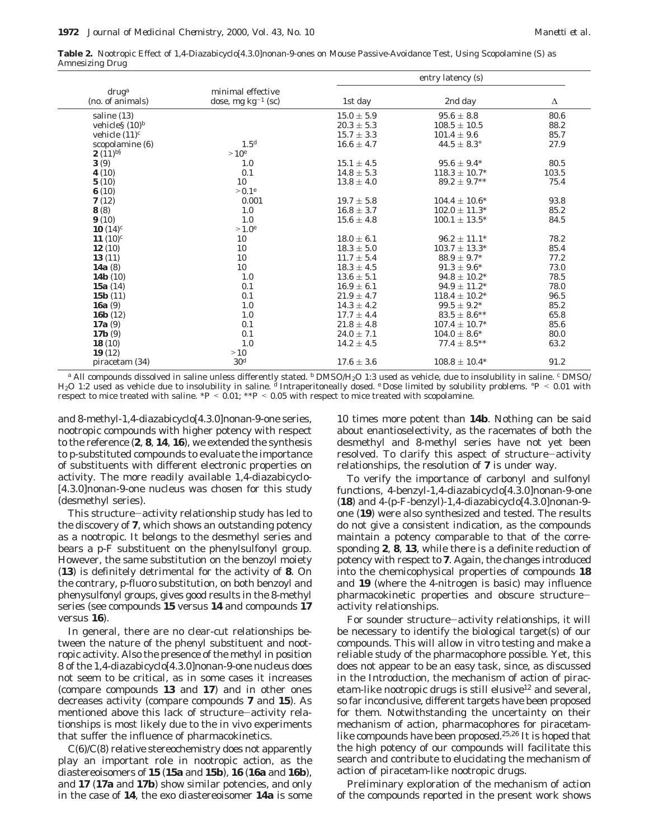**Table 2.** Nootropic Effect of 1,4-Diazabicyclo[4.3.0]nonan-9-ones on Mouse Passive-Avoidance Test, Using Scopolamine (S) as Amnesizing Drug

|                              |                         | entry latency (s) |                        |       |  |
|------------------------------|-------------------------|-------------------|------------------------|-------|--|
| $\frac{dr\mathbf{u}g^a}{dt}$ | minimal effective       |                   |                        |       |  |
| (no. of animals)             | dose, mg $kg^{-1}$ (sc) | 1st day           | 2nd day                | Δ     |  |
| saline (13)                  |                         | $15.0 \pm 5.9$    | $95.6 \pm 8.8$         | 80.6  |  |
| vehicles $(10)^b$            |                         | $20.3\pm5.3$      | $108.5 \pm 10.5$       | 88.2  |  |
| vehicle $(11)^c$             |                         | $15.7 \pm 3.3$    | $101.4 \pm 9.6$        | 85.7  |  |
| scopolamine (6)              | 1.5 <sup>d</sup>        | $16.6 \pm 4.7$    | $44.5 \pm 8.3^{\circ}$ | 27.9  |  |
| <b>2</b> $(11)^{b8}$         | >10 <sup>e</sup>        |                   |                        |       |  |
| 3(9)                         | 1.0                     | $15.1 \pm 4.5$    | $95.6 \pm 9.4*$        | 80.5  |  |
| 4(10)                        | 0.1                     | $14.8 \pm 5.3$    | $118.3 \pm 10.7*$      | 103.5 |  |
| 5(10)                        | 10                      | $13.8 \pm 4.0$    | $89.2 \pm 9.7***$      | 75.4  |  |
| 6(10)                        | $> 0.1^e$               |                   |                        |       |  |
| 7(12)                        | 0.001                   | $19.7 \pm 5.8$    | $104.4 \pm 10.6^*$     | 93.8  |  |
| 8(8)                         | 1.0                     | $16.8 \pm 3.7$    | $102.0 \pm 11.3*$      | 85.2  |  |
| 9(10)                        | 1.0                     | $15.6 \pm 4.8$    | $100.1 \pm 13.5^*$     | 84.5  |  |
| 10 $(14)^c$                  | $>1.0^e$                |                   |                        |       |  |
| 11 $(10)^c$                  | 10                      | $18.0 \pm 6.1$    | $96.2 \pm 11.1*$       | 78.2  |  |
| 12(10)                       | 10                      | $18.3 \pm 5.0$    | $103.7 \pm 13.3^*$     | 85.4  |  |
| 13(11)                       | 10                      | $11.7 \pm 5.4$    | $88.9 \pm 9.7*$        | 77.2  |  |
| 14a $(8)$                    | 10                      | $18.3 \pm 4.5$    | $91.3 \pm 9.6^*$       | 73.0  |  |
| 14 <b>b</b> $(10)$           | 1.0                     | $13.6 \pm 5.1$    | $94.8 \pm 10.2*$       | 78.5  |  |
| 15a $(14)$                   | 0.1                     | $16.9 \pm 6.1$    | $94.9 \pm 11.2*$       | 78.0  |  |
| 15 $\bf{b}$ (11)             | 0.1                     | $21.9 \pm 4.7$    | $118.4 \pm 10.2^*$     | 96.5  |  |
| 16a $(9)$                    | 1.0                     | $14.3 \pm 4.2$    | $99.5 \pm 9.2^*$       | 85.2  |  |
| 16 $\bf{b}$ (12)             | 1.0                     | $17.7 \pm 4.4$    | $83.5 \pm 8.6***$      | 65.8  |  |
| 17a $(9)$                    | 0.1                     | $21.8 \pm 4.8$    | $107.4 \pm 10.7*$      | 85.6  |  |
| 17b(9)                       | 0.1                     | $24.0 \pm 7.1$    | $104.0 \pm 8.6^*$      | 80.0  |  |
| 18(10)                       | 1.0                     | $14.2 \pm 4.5$    | $77.4 \pm 8.5***$      | 63.2  |  |
| 19(12)                       | >10                     |                   |                        |       |  |
| piracetam (34)               | 30 <sup>d</sup>         | $17.6 \pm 3.6$    | $108.8 \pm 10.4*$      | 91.2  |  |

*<sup>a</sup>* All compounds dissolved in saline unless differently stated. *<sup>b</sup>* DMSO/H2O 1:3 used as vehicle, due to insolubility in saline. *<sup>c</sup>* DMSO/ H2O 1:2 used as vehicle due to insolubility in saline. *<sup>d</sup>* Intraperitoneally dosed. *<sup>e</sup>* Dose limited by solubility problems. °*<sup>P</sup>* < 0.01 with respect to mice treated with saline.  $*P < 0.01$ ;  $**P < 0.05$  with respect to mice treated with scopolamine.

and 8-methyl-1,4-diazabicyclo[4.3.0]nonan-9-one series, nootropic compounds with higher potency with respect to the reference (**2**, **8**, **14**, **16**), we extended the synthesis to *p*-substituted compounds to evaluate the importance of substituents with different electronic properties on activity. The more readily available 1,4-diazabicyclo- [4.3.0]nonan-9-one nucleus was chosen for this study (desmethyl series).

This structure-activity relationship study has led to the discovery of **7**, which shows an outstanding potency as a nootropic. It belongs to the desmethyl series and bears a *p*-F substituent on the phenylsulfonyl group. However, the same substitution on the benzoyl moiety (**13**) is definitely detrimental for the activity of **8**. On the contrary, *p*-fluoro substitution, on both benzoyl and phenysulfonyl groups, gives good results in the 8-methyl series (see compounds **15** versus **14** and compounds **17** versus **16**).

In general, there are no clear-cut relationships between the nature of the phenyl substituent and nootropic activity. Also the presence of the methyl in position 8 of the 1,4-diazabicyclo[4.3.0]nonan-9-one nucleus does not seem to be critical, as in some cases it increases (compare compounds **13** and **17**) and in other ones decreases activity (compare compounds **7** and **15**). As mentioned above this lack of structure-activity relationships is most likely due to the in vivo experiments that suffer the influence of pharmacokinetics.

C(6)/C(8) relative stereochemistry does not apparently play an important role in nootropic action, as the diastereoisomers of **15** (**15a** and **15b**), **16** (**16a** and **16b**), and **17** (**17a** and **17b**) show similar potencies, and only in the case of **14**, the exo diastereoisomer **14a** is some

10 times more potent than **14b**. Nothing can be said about enantioselectivity, as the racemates of both the desmethyl and 8-methyl series have not yet been resolved. To clarify this aspect of structure-activity relationships, the resolution of **7** is under way.

To verify the importance of carbonyl and sulfonyl functions, 4-benzyl-1,4-diazabicyclo[4.3.0]nonan-9-one (**18**) and 4-(*p*-F-benzyl)-1,4-diazabicyclo[4.3.0]nonan-9 one (**19**) were also synthesized and tested. The results do not give a consistent indication, as the compounds maintain a potency comparable to that of the corresponding **2**, **8**, **13**, while there is a definite reduction of potency with respect to **7**. Again, the changes introduced into the chemicophysical properties of compounds **18** and **19** (where the 4-nitrogen is basic) may influence pharmacokinetic properties and obscure structureactivity relationships.

For sounder structure-activity relationships, it will be necessary to identify the biological target(s) of our compounds. This will allow in vitro testing and make a reliable study of the pharmacophore possible. Yet, this does not appear to be an easy task, since, as discussed in the Introduction, the mechanism of action of piracetam-like nootropic drugs is still elusive<sup>12</sup> and several, so far inconclusive, different targets have been proposed for them. Notwithstanding the uncertainty on their mechanism of action, pharmacophores for piracetamlike compounds have been proposed.<sup>25,26</sup> It is hoped that the high potency of our compounds will facilitate this search and contribute to elucidating the mechanism of action of piracetam-like nootropic drugs.

Preliminary exploration of the mechanism of action of the compounds reported in the present work shows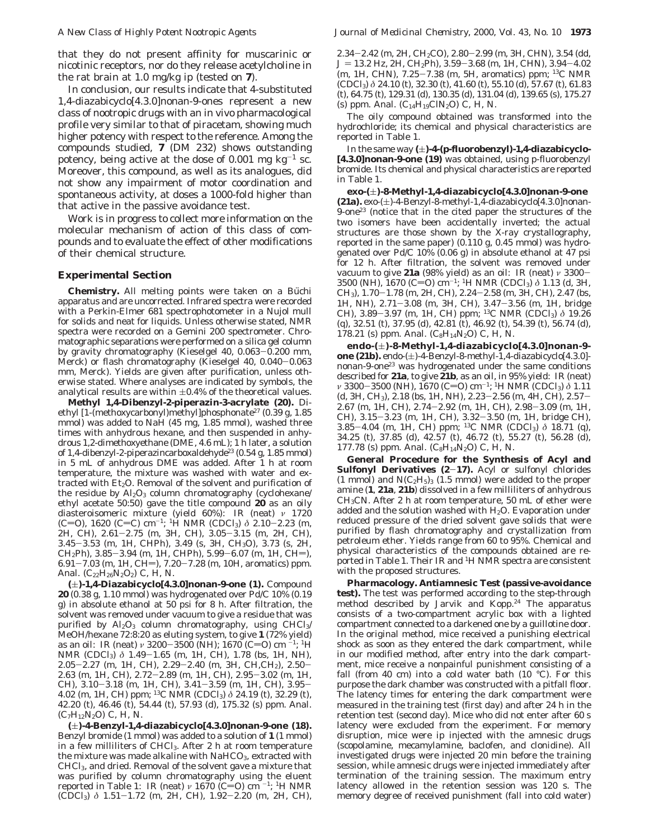that they do not present affinity for muscarinic or nicotinic receptors, nor do they release acetylcholine in the rat brain at 1.0 mg/kg ip (tested on **7**).

In conclusion, our results indicate that 4-substituted 1,4-diazabicyclo[4.3.0]nonan-9-ones represent a new class of nootropic drugs with an in vivo pharmacological profile very similar to that of piracetam, showing much higher potency with respect to the reference. Among the compounds studied, **7** (DM 232) shows outstanding potency, being active at the dose of 0.001 mg  $kg^{-1}$  sc. Moreover, this compound, as well as its analogues, did not show any impairment of motor coordination and spontaneous activity, at doses a 1000-fold higher than that active in the passive avoidance test.

Work is in progress to collect more information on the molecular mechanism of action of this class of compounds and to evaluate the effect of other modifications of their chemical structure.

#### **Experimental Section**

**Chemistry.** All melting points were taken on a Büchi apparatus and are uncorrected. Infrared spectra were recorded with a Perkin-Elmer 681 spectrophotometer in a Nujol mull for solids and neat for liquids. Unless otherwise stated, NMR spectra were recorded on a Gemini 200 spectrometer. Chromatographic separations were performed on a silica gel column by gravity chromatography (Kieselgel 40, 0.063-0.200 mm, Merck) or flash chromatography (Kieselgel 40, 0.040-0.063 mm, Merck). Yields are given after purification, unless otherwise stated. Where analyses are indicated by symbols, the analytical results are within  $\pm 0.4\%$  of the theoretical values.

**Methyl 1,4-Dibenzyl-2-piperazin-3-acrylate (20).** Diethyl [1-(methoxycarbonyl)methyl]phosphonate<sup>27</sup> (0.39 g, 1.85 mmol) was added to NaH (45 mg, 1.85 mmol), washed three times with anhydrous hexane, and then suspended in anhydrous 1,2-dimethoxyethane (DME, 4.6 mL); 1 h later, a solution of 1,4-dibenzyl-2-piperazincarboxaldehyde23 (0.54 g, 1.85 mmol) in 5 mL of anhydrous DME was added. After 1 h at room temperature, the mixture was washed with water and extracted with  $Et<sub>2</sub>O$ . Removal of the solvent and purification of the residue by  $\text{Al}_2\text{O}_3$  column chromatography (cyclohexane/ ethyl acetate 50:50) gave the title compound **20** as an oily diasteroisomeric mixture (yield 60%): IR (neat) *ν* 1720 (C=O), 1620 (C=C) cm<sup>-1</sup>; <sup>1</sup>H NMR (CDCl<sub>3</sub>)  $\delta$  2.10-2.23 (m, 2H, CH), 2.61-2.75 (m, 3H, CH), 3.05-3.15 (m, 2H, CH), 3.45-3.53 (m, 1H, CHPh), 3.49 (s, 3H, CH3O), 3.73 (s, 2H,  $CH<sub>2</sub>Ph$ , 3.85-3.94 (m, 1H, CHPh), 5.99-6.07 (m, 1H, CH=),  $6.91-7.03$  (m, 1H, CH=),  $7.20-7.28$  (m, 10H, aromatics) ppm. Anal. (C<sub>22</sub>H<sub>26</sub>N<sub>2</sub>O<sub>2</sub>) C, H, N.

**(**(**)-1,4-Diazabicyclo[4.3.0]nonan-9-one (1).** Compound **20** (0.38 g, 1.10 mmol) was hydrogenated over Pd/C 10% (0.19 g) in absolute ethanol at 50 psi for 8 h. After filtration, the solvent was removed under vacuum to give a residue that was purified by  $\text{Al}_2\text{O}_3$  column chromatography, using CHCl<sub>3</sub>/ MeOH/hexane 72:8:20 as eluting system, to give **1** (72% yield) as an oil: IR (neat) *ν* 3200-3500 (NH); 1670 (C=O) cm<sup>-1</sup>; <sup>1</sup>H NMR (CDCl<sub>3</sub>) δ 1.49-1.65 (m, 1H, CH), 1.78 (bs, 1H, NH), 2.05-2.27 (m, 1H, CH), 2.29-2.40 (m, 3H, CH,CH2), 2.50- 2.63 (m, 1H, CH), 2.72-2.89 (m, 1H, CH), 2.95-3.02 (m, 1H, CH), 3.10–3.18 (m, 1H, CH), 3.41–3.59 (m, 1H, CH), 3.95–<br>4.02 (m, 1H, CH) ppm; <sup>13</sup>C NMR (CDCl<sub>3</sub>) *δ* 24.19 (t), 32.29 (t), 42.20 (t), 46.46 (t), 54.44 (t), 57.93 (d), 175.32 (s) ppm. Anal.  $(C_7H_{12}N_2O)$  C, H, N.

**(**(**)-4-Benzyl-1,4-diazabicyclo[4.3.0]nonan-9-one (18).** Benzyl bromide (1 mmol) was added to a solution of **1** (1 mmol) in a few milliliters of CHCl3. After 2 h at room temperature the mixture was made alkaline with NaHCO<sub>3</sub>, extracted with CHCl3, and dried. Removal of the solvent gave a mixture that was purified by column chromatography using the eluent reported in Table 1: IR (neat)  $\nu$  1670 (C=O) cm<sup>-1</sup>; <sup>1</sup>H NMR (CDCl3) *<sup>δ</sup>* 1.51-1.72 (m, 2H, CH), 1.92-2.20 (m, 2H, CH),

2.34-2.42 (m, 2H, CH2CO), 2.80-2.99 (m, 3H, CHN), 3.54 (dd, *<sup>J</sup>* ) 13.2 Hz, 2H, CH2Ph), 3.59-3.68 (m, 1H, CHN), 3.94-4.02 (m, 1H, CHN), 7.25-7.38 (m, 5H, aromatics) ppm; 13C NMR (CDCl3) *δ* 24.10 (t), 32.30 (t), 41.60 (t), 55.10 (d), 57.67 (t), 61.83 (t), 64.75 (t), 129.31 (d), 130.35 (d), 131.04 (d), 139.65 (s), 175.27 (s) ppm. Anal.  $(C_{14}H_{19}CIN_2O)$  C, H, N.

The oily compound obtained was transformed into the hydrochloride; its chemical and physical characteristics are reported in Table 1.

In the same way ( $\pm$ )-4-(p-fluorobenzyl)-1,4-diazabicyclo-**[4.3.0]nonan-9-one (19)** was obtained, using *p*-fluorobenzyl bromide. Its chemical and physical characteristics are reported in Table 1.

**exo***-***(**(**)-8-Methyl-1,4-diazabicyclo[4.3.0]nonan-9-one**  $(21a)$ . exo- $(\pm)$ -4-Benzyl-8-methyl-1,4-diazabicyclo $[4.3.0]$ nonan-9-one23 (notice that in the cited paper the structures of the two isomers have been accidentally inverted; the actual structures are those shown by the X-ray crystallography, reported in the same paper) (0.110 g, 0.45 mmol) was hydrogenated over Pd/C 10% (0.06 g) in absolute ethanol at 47 psi for 12 h. After filtration, the solvent was removed under vacuum to give **21a** (98% yield) as an oil: IR (neat) *<sup>ν</sup>* <sup>3300</sup>- 3500 (NH), 1670 (C=O) cm<sup>-1</sup>; <sup>1</sup>H NMR (CDCl<sub>3</sub>)  $\delta$  1.13 (d, 3H, CH<sub>3</sub>), 1.70-1.78 (m, 2H, CH), 2.24-2.58 (m, 3H, CH), 2.47 (bs, 1H, NH), 2.71-3.08 (m, 3H, CH), 3.47-3.56 (m, 1H, bridge 1H, NH), 2.71–3.08 (m, 3H, CH), 3.47–3.56 (m, 1H, bridge CH), 3.89–3.97 (m, 1H, CH) npm; <sup>13</sup>C, NMR (CDCL) δ.19.26 CH), 3.89–3.97 (m, 1H, CH) ppm; <sup>13</sup>C NMR (CDCl<sub>3</sub>) *δ* 19.26 (a) 32.51 (t) 37.95 (d) 42.81 (t) 46.92 (t) 54.39 (t) 56.74 (d) (q), 32.51 (t), 37.95 (d), 42.81 (t), 46.92 (t), 54.39 (t), 56.74 (d), 178.21 (s) ppm. Anal.  $(C_8H_{14}N_2O)$  C, H, N.

**endo-(**(**)-8-Methyl-1,4-diazabicyclo[4.3.0]nonan-9 one (21b).** endo- $(\pm)$ -4-Benzyl-8-methyl-1,4-diazabicyclo[4.3.0]nonan-9-one23 was hydrogenated under the same conditions described for **21a**, to give **21b**, as an oil, in 95% yield: IR (neat) *ν* 3300-3500 (NH), 1670 (C=O) cm<sup>-1</sup>; <sup>1</sup>H NMR (CDCl<sub>3</sub>) *δ* 1.11 (d, 3H, CH3), 2.18 (bs, 1H, NH), 2.23-2.56 (m, 4H, CH), 2.57- 2.67 (m, 1H, CH), 2.74-2.92 (m, 1H, CH), 2.98-3.09 (m, 1H, CH), 3.15-3.23 (m, 1H, CH), 3.32-3.50 (m, 1H, bridge CH), 3.85-4.04 (m, 1H, CH) ppm; 13C NMR (CDCl3) *<sup>δ</sup>* 18.71 (q), 34.25 (t), 37.85 (d), 42.57 (t), 46.72 (t), 55.27 (t), 56.28 (d), 177.78 (s) ppm. Anal.  $(C_8H_{14}N_2O)$  C, H, N.

**General Procedure for the Synthesis of Acyl and Sulfonyl Derivatives (2**-**17).** Acyl or sulfonyl chlorides (1 mmol) and  $N(C_2H_5)_3$  (1.5 mmol) were added to the proper amine (**1**, **21a**, **21b**) dissolved in a few milliliters of anhydrous CH3CN. After 2 h at room temperature, 50 mL of ether were added and the solution washed with  $H_2O$ . Evaporation under reduced pressure of the dried solvent gave solids that were purified by flash chromatography and crystallization from petroleum ether. Yields range from 60 to 95%. Chemical and physical characteristics of the compounds obtained are reported in Table 1. Their IR and 1H NMR spectra are consistent with the proposed structures.

**Pharmacology. Antiamnesic Test (passive-avoidance test).** The test was performed according to the step-through method described by Jarvik and Kopp.<sup>24</sup> The apparatus consists of a two-compartment acrylic box with a lighted compartment connected to a darkened one by a guillotine door. In the original method, mice received a punishing electrical shock as soon as they entered the dark compartment, while in our modified method, after entry into the dark compartment, mice receive a nonpainful punishment consisting of a fall (from 40 cm) into a cold water bath (10  $^{\circ}$ C). For this purpose the dark chamber was constructed with a pitfall floor. The latency times for entering the dark compartment were measured in the training test (first day) and after 24 h in the retention test (second day). Mice who did not enter after 60 s latency were excluded from the experiment. For memory disruption, mice were ip injected with the amnesic drugs (scopolamine, mecamylamine, baclofen, and clonidine). All investigated drugs were injected 20 min before the training session, while amnesic drugs were injected immediately after termination of the training session. The maximum entry latency allowed in the retention session was 120 s. The memory degree of received punishment (fall into cold water)